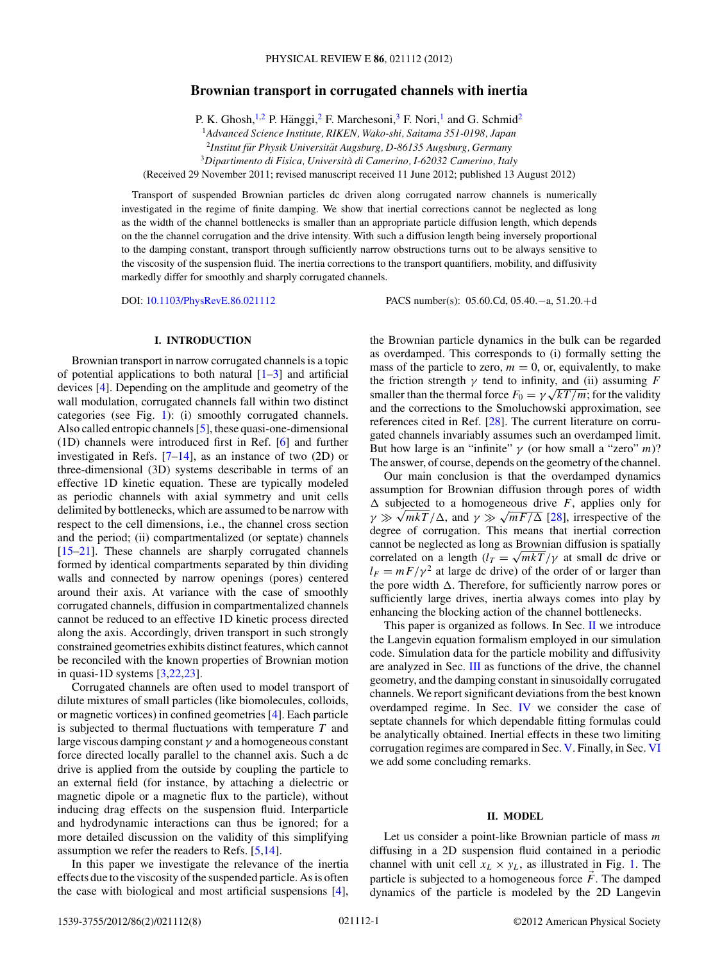# <span id="page-0-0"></span>**Brownian transport in corrugated channels with inertia**

P. K. Ghosh,<sup>1,2</sup> P. Hänggi,<sup>2</sup> F. Marchesoni,<sup>3</sup> F. Nori,<sup>1</sup> and G. Schmid<sup>2</sup>

<sup>1</sup>*Advanced Science Institute, RIKEN, Wako-shi, Saitama 351-0198, Japan*

<sup>2</sup>Institut für Physik Universität Augsburg, D-86135 Augsburg, Germany

<sup>3</sup>*Dipartimento di Fisica, Universita di Camerino, I-62032 Camerino, Italy `*

(Received 29 November 2011; revised manuscript received 11 June 2012; published 13 August 2012)

Transport of suspended Brownian particles dc driven along corrugated narrow channels is numerically investigated in the regime of finite damping. We show that inertial corrections cannot be neglected as long as the width of the channel bottlenecks is smaller than an appropriate particle diffusion length, which depends on the the channel corrugation and the drive intensity. With such a diffusion length being inversely proportional to the damping constant, transport through sufficiently narrow obstructions turns out to be always sensitive to the viscosity of the suspension fluid. The inertia corrections to the transport quantifiers, mobility, and diffusivity markedly differ for smoothly and sharply corrugated channels.

DOI: [10.1103/PhysRevE.86.021112](http://dx.doi.org/10.1103/PhysRevE.86.021112) PACS number(s): 05*.*60*.*Cd, 05*.*40*.*−a, 51*.*20*.*+d

# **I. INTRODUCTION**

Brownian transport in narrow corrugated channels is a topic of potential applications to both natural  $[1-3]$  and artificial devices [\[4\]](#page-6-0). Depending on the amplitude and geometry of the wall modulation, corrugated channels fall within two distinct categories (see Fig. [1\)](#page-1-0): (i) smoothly corrugated channels. Also called entropic channels [\[5\]](#page-6-0), these quasi-one-dimensional (1D) channels were introduced first in Ref. [\[6\]](#page-6-0) and further investigated in Refs.  $[7-14]$ , as an instance of two (2D) or three-dimensional (3D) systems describable in terms of an effective 1D kinetic equation. These are typically modeled as periodic channels with axial symmetry and unit cells delimited by bottlenecks, which are assumed to be narrow with respect to the cell dimensions, i.e., the channel cross section and the period; (ii) compartmentalized (or septate) channels [\[15–21\]](#page-6-0). These channels are sharply corrugated channels formed by identical compartments separated by thin dividing walls and connected by narrow openings (pores) centered around their axis. At variance with the case of smoothly corrugated channels, diffusion in compartmentalized channels cannot be reduced to an effective 1D kinetic process directed along the axis. Accordingly, driven transport in such strongly constrained geometries exhibits distinct features, which cannot be reconciled with the known properties of Brownian motion in quasi-1D systems [\[3,22](#page-6-0)[,23\]](#page-7-0).

Corrugated channels are often used to model transport of dilute mixtures of small particles (like biomolecules, colloids, or magnetic vortices) in confined geometries [\[4\]](#page-6-0). Each particle is subjected to thermal fluctuations with temperature *T* and large viscous damping constant *γ* and a homogeneous constant force directed locally parallel to the channel axis. Such a dc drive is applied from the outside by coupling the particle to an external field (for instance, by attaching a dielectric or magnetic dipole or a magnetic flux to the particle), without inducing drag effects on the suspension fluid. Interparticle and hydrodynamic interactions can thus be ignored; for a more detailed discussion on the validity of this simplifying assumption we refer the readers to Refs. [\[5,14\]](#page-6-0).

In this paper we investigate the relevance of the inertia effects due to the viscosity of the suspended particle. As is often the case with biological and most artificial suspensions [\[4\]](#page-6-0),

the Brownian particle dynamics in the bulk can be regarded as overdamped. This corresponds to (i) formally setting the mass of the particle to zero,  $m = 0$ , or, equivalently, to make the friction strength  $\gamma$  tend to infinity, and (ii) assuming *F* smaller than the thermal force  $F_0 = \gamma \sqrt{kT/m}$ ; for the validity and the corrections to the Smoluchowski approximation, see references cited in Ref. [\[28\]](#page-7-0). The current literature on corrugated channels invariably assumes such an overdamped limit. But how large is an "infinite"  $\gamma$  (or how small a "zero" *m*)? The answer, of course, depends on the geometry of the channel.

Our main conclusion is that the overdamped dynamics assumption for Brownian diffusion through pores of width  $\Delta$  subjected to a homogeneous drive *F*, applies only for  $\gamma \gg \sqrt{mkT}/\Delta$ , and  $\gamma \gg \sqrt{mF/\Delta}$  [\[28\]](#page-7-0), irrespective of the degree of corrugation. This means that inertial correction cannot be neglected as long as Brownian diffusion is spatially correlated on a length  $(l_T = \sqrt{mkT/\gamma}$  at small dc drive or  $l_F = mF/\gamma^2$  at large dc drive) of the order of or larger than the pore width  $\Delta$ . Therefore, for sufficiently narrow pores or sufficiently large drives, inertia always comes into play by enhancing the blocking action of the channel bottlenecks.

This paper is organized as follows. In Sec. II we introduce the Langevin equation formalism employed in our simulation code. Simulation data for the particle mobility and diffusivity are analyzed in Sec. [III](#page-1-0) as functions of the drive, the channel geometry, and the damping constant in sinusoidally corrugated channels. We report significant deviations from the best known overdamped regime. In Sec. [IV](#page-3-0) we consider the case of septate channels for which dependable fitting formulas could be analytically obtained. Inertial effects in these two limiting corrugation regimes are compared in Sec. [V.](#page-5-0) Finally, in Sec. [VI](#page-6-0) we add some concluding remarks.

## **II. MODEL**

Let us consider a point-like Brownian particle of mass *m* diffusing in a 2D suspension fluid contained in a periodic channel with unit cell  $x_L \times y_L$ , as illustrated in Fig. [1.](#page-1-0) The particle is subjected to a homogeneous force  $\vec{F}$ . The damped dynamics of the particle is modeled by the 2D Langevin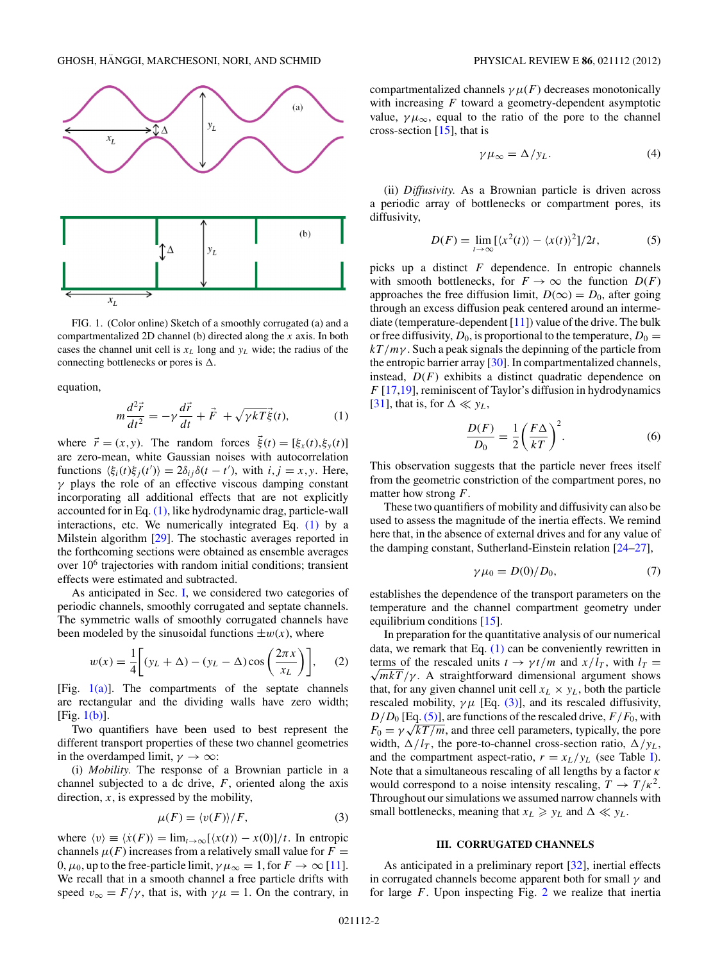<span id="page-1-0"></span>

FIG. 1. (Color online) Sketch of a smoothly corrugated (a) and a compartmentalized 2D channel (b) directed along the *x* axis. In both cases the channel unit cell is  $x_L$  long and  $y_L$  wide; the radius of the connecting bottlenecks or pores is  $\Delta$ .

equation,

$$
m\frac{d^2\vec{r}}{dt^2} = -\gamma\frac{d\vec{r}}{dt} + \vec{F} + \sqrt{\gamma kT}\vec{\xi}(t),
$$
 (1)

where  $\vec{r} = (x, y)$ . The random forces  $\xi(t) = [\xi_x(t), \xi_y(t)]$ are zero-mean, white Gaussian noises with autocorrelation functions  $\langle \xi_i(t)\xi_j(t')\rangle = 2\delta_{ij}\delta(t-t')$ , with  $i, j = x, y$ . Here, *γ* plays the role of an effective viscous damping constant incorporating all additional effects that are not explicitly accounted for in Eq. (1), like hydrodynamic drag, particle-wall interactions, etc. We numerically integrated Eq. (1) by a Milstein algorithm [\[29\]](#page-7-0). The stochastic averages reported in the forthcoming sections were obtained as ensemble averages over 10<sup>6</sup> trajectories with random initial conditions; transient effects were estimated and subtracted.

As anticipated in Sec. [I,](#page-0-0) we considered two categories of periodic channels, smoothly corrugated and septate channels. The symmetric walls of smoothly corrugated channels have been modeled by the sinusoidal functions  $\pm w(x)$ , where

$$
w(x) = \frac{1}{4} \left[ (y_L + \Delta) - (y_L - \Delta) \cos \left( \frac{2\pi x}{x_L} \right) \right],
$$
 (2)

[Fig.  $1(a)$ ]. The compartments of the septate channels are rectangular and the dividing walls have zero width; [Fig. 1(b)].

Two quantifiers have been used to best represent the different transport properties of these two channel geometries in the overdamped limit,  $\gamma \to \infty$ :

(i) *Mobility.* The response of a Brownian particle in a channel subjected to a dc drive, *F*, oriented along the axis direction,  $x$ , is expressed by the mobility,

$$
\mu(F) = \langle v(F) \rangle / F,\tag{3}
$$

where  $\langle v \rangle \equiv \langle \dot{x}(F) \rangle = \lim_{t \to \infty} [\langle x(t) \rangle - x(0)]/t$ . In entropic channels  $\mu(F)$  increases from a relatively small value for  $F =$ 0,  $\mu_0$ , up to the free-particle limit,  $\gamma \mu_\infty = 1$ , for  $F \to \infty$  [\[11\]](#page-6-0). We recall that in a smooth channel a free particle drifts with speed  $v_{\infty} = F/\gamma$ , that is, with  $\gamma \mu = 1$ . On the contrary, in compartmentalized channels  $\gamma \mu(F)$  decreases monotonically with increasing *F* toward a geometry-dependent asymptotic value,  $\gamma \mu_{\infty}$ , equal to the ratio of the pore to the channel cross-section  $[15]$ , that is

$$
\gamma \mu_{\infty} = \Delta / y_L. \tag{4}
$$

(ii) *Diffusivity.* As a Brownian particle is driven across a periodic array of bottlenecks or compartment pores, its diffusivity,

$$
D(F) = \lim_{t \to \infty} \left[ \langle x^2(t) \rangle - \langle x(t) \rangle^2 \right] / 2t,\tag{5}
$$

picks up a distinct *F* dependence. In entropic channels with smooth bottlenecks, for  $F \to \infty$  the function  $D(F)$ approaches the free diffusion limit,  $D(\infty) = D_0$ , after going through an excess diffusion peak centered around an intermediate (temperature-dependent  $[11]$ ) value of the drive. The bulk or free diffusivity,  $D_0$ , is proportional to the temperature,  $D_0 =$ *kT/mγ* . Such a peak signals the depinning of the particle from the entropic barrier array [\[30\]](#page-7-0). In compartmentalized channels, instead,  $D(F)$  exhibits a distinct quadratic dependence on *F* [\[17,19\]](#page-6-0), reminiscent of Taylor's diffusion in hydrodynamics [\[31\]](#page-7-0), that is, for  $\Delta \ll y_L$ ,

$$
\frac{D(F)}{D_0} = \frac{1}{2} \left(\frac{F\Delta}{kT}\right)^2.
$$
 (6)

This observation suggests that the particle never frees itself from the geometric constriction of the compartment pores, no matter how strong *F*.

These two quantifiers of mobility and diffusivity can also be used to assess the magnitude of the inertia effects. We remind here that, in the absence of external drives and for any value of the damping constant, Sutherland-Einstein relation [\[24–27\]](#page-7-0),

$$
\gamma \mu_0 = D(0)/D_0,\tag{7}
$$

establishes the dependence of the transport parameters on the temperature and the channel compartment geometry under equilibrium conditions [\[15\]](#page-6-0).

In preparation for the quantitative analysis of our numerical data, we remark that Eq.  $(1)$  can be conveniently rewritten in terms of the rescaled units  $t \to \gamma t/m$  and  $x/l_T$ , with  $l_T =$  $\sqrt{mkT}/\gamma$ . A straightforward dimensional argument shows that, for any given channel unit cell  $x_L \times y_L$ , both the particle rescaled mobility,  $\gamma \mu$  [Eq. (3)], and its rescaled diffusivity,  $D/D_0$  [Eq. (5)], are functions of the rescaled drive,  $F/F_0$ , with  $F_0 = \gamma \sqrt{kT/m}$ , and three cell parameters, typically, the pore width,  $\Delta / l_T$ , the pore-to-channel cross-section ratio,  $\Delta / y_L$ , and the compartment aspect-ratio,  $r = x_L/y_L$  (see Table [I\)](#page-2-0). Note that a simultaneous rescaling of all lengths by a factor *κ* would correspond to a noise intensity rescaling,  $T \rightarrow T/\kappa^2$ . Throughout our simulations we assumed narrow channels with small bottlenecks, meaning that  $x_L \geq y_L$  and  $\Delta \ll y_L$ .

#### **III. CORRUGATED CHANNELS**

As anticipated in a preliminary report [\[32\]](#page-7-0), inertial effects in corrugated channels become apparent both for small *γ* and for large *F*. Upon inspecting Fig. [2](#page-2-0) we realize that inertia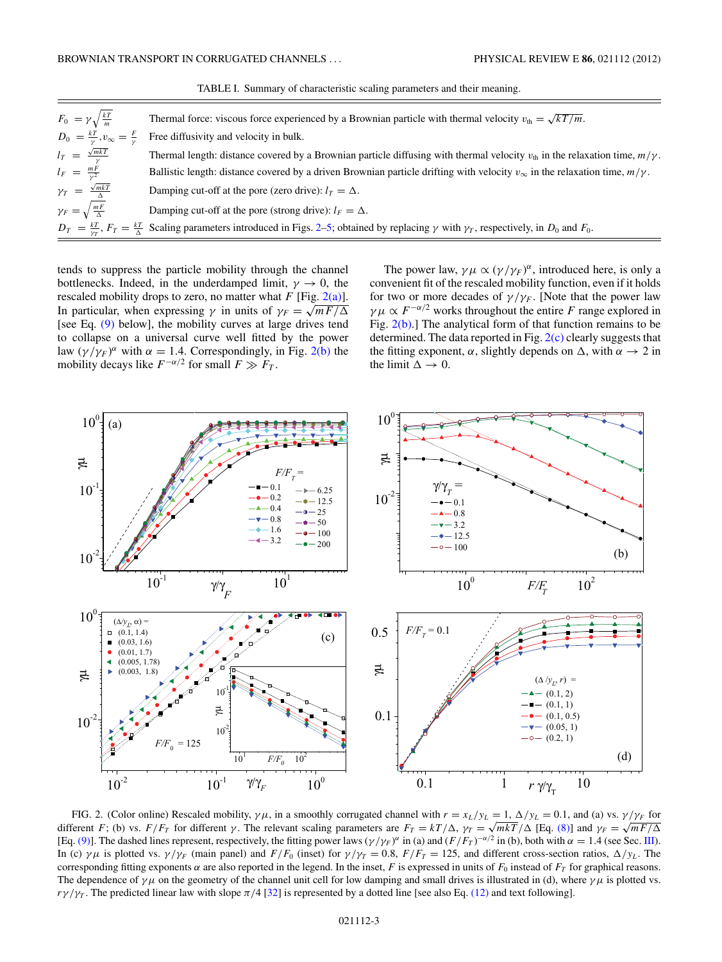<span id="page-2-0"></span>

| $F_0 = \gamma \sqrt{\frac{kT}{m}}$                 | Thermal force: viscous force experienced by a Brownian particle with thermal velocity $v_{th} = \sqrt{kT/m}$ .                                                                          |
|----------------------------------------------------|-----------------------------------------------------------------------------------------------------------------------------------------------------------------------------------------|
| $D_0 = \frac{kT}{\nu}, v_{\infty} = \frac{F}{\nu}$ | Free diffusivity and velocity in bulk.                                                                                                                                                  |
| $l_T = \frac{\sqrt{mkT}}{v}$                       | Thermal length: distance covered by a Brownian particle diffusing with thermal velocity $v_{th}$ in the relaxation time, $m/\gamma$ .                                                   |
| $l_F = \frac{mF}{v^2}$                             | Ballistic length: distance covered by a driven Brownian particle drifting with velocity $v_{\infty}$ in the relaxation time, $m/\gamma$ .                                               |
| $\gamma_T = \frac{\sqrt{mkT}}{\Delta}$             | Damping cut-off at the pore (zero drive): $l_T = \Delta$ .                                                                                                                              |
| $\gamma_F = \sqrt{\frac{mF}{\Delta}}$              | Damping cut-off at the pore (strong drive): $l_F = \Delta$ .                                                                                                                            |
|                                                    | $D_T = \frac{kT}{\gamma r}$ , $F_T = \frac{kT}{\Delta}$ Scaling parameters introduced in Figs. 2–5; obtained by replacing $\gamma$ with $\gamma_T$ , respectively, in $D_0$ and $F_0$ . |

TABLE I. Summary of characteristic scaling parameters and their meaning.

tends to suppress the particle mobility through the channel bottlenecks. Indeed, in the underdamped limit,  $\gamma \to 0$ , the rescaled mobility drops to zero, no matter what  $F$  [Fig. 2(a)]. In particular, when expressing  $\gamma$  in units of  $\gamma_F = \sqrt{mF/\Delta}$ [see Eq.  $(9)$  below], the mobility curves at large drives tend to collapse on a universal curve well fitted by the power law  $(\gamma/\gamma_F)^{\alpha}$  with  $\alpha = 1.4$ . Correspondingly, in Fig. 2(b) the mobility decays like  $F^{-\alpha/2}$  for small  $F \gg F_T$ .

The power law,  $\gamma \mu \propto (\gamma/\gamma_F)^{\alpha}$ , introduced here, is only a convenient fit of the rescaled mobility function, even if it holds for two or more decades of  $\gamma/\gamma_F$ . [Note that the power law *γμ*  $\propto F^{-\alpha/2}$  works throughout the entire *F* range explored in Fig.  $2(b)$ .] The analytical form of that function remains to be determined. The data reported in Fig. 2(c) clearly suggests that the fitting exponent,  $\alpha$ , slightly depends on  $\Delta$ , with  $\alpha \rightarrow 2$  in the limit  $\Delta \rightarrow 0$ .



FIG. 2. (Color online) Rescaled mobility,  $\gamma \mu$ , in a smoothly corrugated channel with  $r = x_L/y_L = 1$ ,  $\Delta/y_L = 0.1$ , and (a) vs.  $\gamma/\gamma_F$  for different *F*; (b) vs. *F/F<sub>T</sub>* for different *γ*. The relevant scaling parameters are  $F_T = kT/\Delta$ ,  $\gamma_T = \sqrt{mkT}/\Delta$  [Eq. [\(8\)\]](#page-3-0) and  $\gamma_F = \sqrt{mF/\Delta}$ [Eq. [\(9\)\]](#page-3-0). The dashed lines represent, respectively, the fitting power laws  $(\gamma/\gamma_F)^\alpha$  in (a) and  $(F/F_T)^{-\alpha/2}$  in (b), both with  $\alpha = 1.4$  (see Sec. [III\)](#page-1-0). In (c) *γμ* is plotted vs. *γ/γF* (main panel) and  $F/F_0$  (inset) for  $\gamma/\gamma_T = 0.8$ ,  $F/F_T = 125$ , and different cross-section ratios,  $\Delta/\gamma_L$ . The corresponding fitting exponents *α* are also reported in the legend. In the inset, *F* is expressed in units of  $F_0$  instead of  $F_T$  for graphical reasons. The dependence of  $\gamma \mu$  on the geometry of the channel unit cell for low damping and small drives is illustrated in (d), where  $\gamma \mu$  is plotted vs.  $r\gamma/\gamma_T$ . The predicted linear law with slope  $\pi/4$  [\[32\]](#page-7-0) is represented by a dotted line [see also Eq. [\(12\)](#page-4-0) and text following].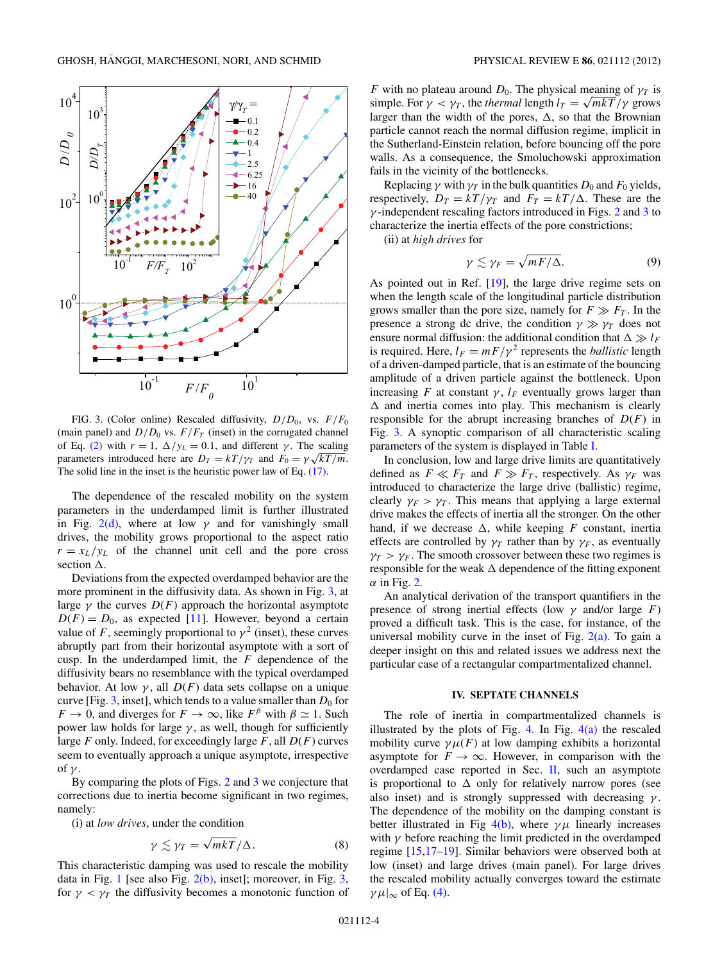<span id="page-3-0"></span>

FIG. 3. (Color online) Rescaled diffusivity, *D/D*0, vs. *F/F*<sup>0</sup> (main panel) and  $D/D_0$  vs.  $F/F_T$  (inset) in the corrugated channel of Eq. [\(2\)](#page-1-0) with  $r = 1$ ,  $\Delta/y_L = 0.1$ , and different  $\gamma$ . The scaling parameters introduced here are  $D_T = kT/\gamma_T$  and  $F_0 = \gamma \sqrt{kT/m}$ . The solid line in the inset is the heuristic power law of Eq. [\(17\).](#page-6-0)

The dependence of the rescaled mobility on the system parameters in the underdamped limit is further illustrated in Fig.  $2(d)$ , where at low  $\gamma$  and for vanishingly small drives, the mobility grows proportional to the aspect ratio  $r = x_L/y_L$  of the channel unit cell and the pore cross section  $\Delta$ .

Deviations from the expected overdamped behavior are the more prominent in the diffusivity data. As shown in Fig. 3, at large  $\gamma$  the curves  $D(F)$  approach the horizontal asymptote  $D(F) = D_0$ , as expected [\[11\]](#page-6-0). However, beyond a certain value of *F*, seemingly proportional to  $\gamma^2$  (inset), these curves abruptly part from their horizontal asymptote with a sort of cusp. In the underdamped limit, the *F* dependence of the diffusivity bears no resemblance with the typical overdamped behavior. At low  $\gamma$ , all  $D(F)$  data sets collapse on a unique curve [Fig.  $3$ , inset], which tends to a value smaller than  $D_0$  for  $F \to 0$ , and diverges for  $F \to \infty$ , like  $F^{\beta}$  with  $\beta \simeq 1$ . Such power law holds for large  $\gamma$ , as well, though for sufficiently large *F* only. Indeed, for exceedingly large *F*, all *D*(*F*) curves seem to eventually approach a unique asymptote, irrespective of *γ* .

By comparing the plots of Figs. [2](#page-2-0) and 3 we conjecture that corrections due to inertia become significant in two regimes, namely:

(i) at *low drives*, under the condition

$$
\gamma \lesssim \gamma_T = \sqrt{mkT}/\Delta. \tag{8}
$$

This characteristic damping was used to rescale the mobility data in Fig. [1](#page-1-0) [see also Fig.  $2(b)$ , inset]; moreover, in Fig. 3, for  $\gamma < \gamma_T$  the diffusivity becomes a monotonic function of

*F* with no plateau around  $D_0$ . The physical meaning of  $\gamma_T$  is simple. For  $\gamma < \gamma_T$ , the *thermal* length  $l_T = \sqrt{mkT/\gamma}$  grows larger than the width of the pores,  $\Delta$ , so that the Brownian particle cannot reach the normal diffusion regime, implicit in the Sutherland-Einstein relation, before bouncing off the pore walls. As a consequence, the Smoluchowski approximation fails in the vicinity of the bottlenecks.

Replacing  $\gamma$  with  $\gamma_T$  in the bulk quantities  $D_0$  and  $F_0$  yields, respectively,  $D_T = kT/\gamma_T$  and  $F_T = kT/\Delta$ . These are the *γ* -independent rescaling factors introduced in Figs. [2](#page-2-0) and 3 to characterize the inertia effects of the pore constrictions;

(ii) at *high drives* for

$$
\gamma \lesssim \gamma_F = \sqrt{mF/\Delta}.\tag{9}
$$

As pointed out in Ref. [\[19\]](#page-6-0), the large drive regime sets on when the length scale of the longitudinal particle distribution grows smaller than the pore size, namely for  $F \gg F_T$ . In the presence a strong dc drive, the condition  $\gamma \gg \gamma_T$  does not ensure normal diffusion: the additional condition that  $\Delta \gg l_F$ is required. Here,  $l_F = mF/\gamma^2$  represents the *ballistic* length of a driven-damped particle, that is an estimate of the bouncing amplitude of a driven particle against the bottleneck. Upon increasing *F* at constant  $\gamma$ ,  $l_F$  eventually grows larger than  $\Delta$  and inertia comes into play. This mechanism is clearly responsible for the abrupt increasing branches of *D*(*F*) in Fig. 3. A synoptic comparison of all characteristic scaling parameters of the system is displayed in Table [I.](#page-2-0)

In conclusion, low and large drive limits are quantitatively defined as  $F \ll F_T$  and  $F \gg F_T$ , respectively. As  $\gamma_F$  was introduced to characterize the large drive (ballistic) regime, clearly  $\gamma_F > \gamma_T$ . This means that applying a large external drive makes the effects of inertia all the stronger. On the other hand, if we decrease  $\Delta$ , while keeping *F* constant, inertia effects are controlled by  $\gamma_T$  rather than by  $\gamma_F$ , as eventually  $\gamma_T > \gamma_F$ . The smooth crossover between these two regimes is responsible for the weak  $\Delta$  dependence of the fitting exponent  $\alpha$  in Fig. [2.](#page-2-0)

An analytical derivation of the transport quantifiers in the presence of strong inertial effects (low  $\gamma$  and/or large *F*) proved a difficult task. This is the case, for instance, of the universal mobility curve in the inset of Fig.  $2(a)$ . To gain a deeper insight on this and related issues we address next the particular case of a rectangular compartmentalized channel.

### **IV. SEPTATE CHANNELS**

The role of inertia in compartmentalized channels is illustrated by the plots of Fig. [4.](#page-4-0) In Fig.  $4(a)$  the rescaled mobility curve  $\gamma \mu(F)$  at low damping exhibits a horizontal asymptote for  $F \to \infty$ . However, in comparison with the overdamped case reported in Sec. [II,](#page-0-0) such an asymptote is proportional to  $\Delta$  only for relatively narrow pores (see also inset) and is strongly suppressed with decreasing *γ* . The dependence of the mobility on the damping constant is better illustrated in Fig  $4(b)$ , where  $\gamma \mu$  linearly increases with  $\gamma$  before reaching the limit predicted in the overdamped regime [\[15,17–19\]](#page-6-0). Similar behaviors were observed both at low (inset) and large drives (main panel). For large drives the rescaled mobility actually converges toward the estimate  $\gamma \mu|_{\infty}$  of Eq. [\(4\).](#page-1-0)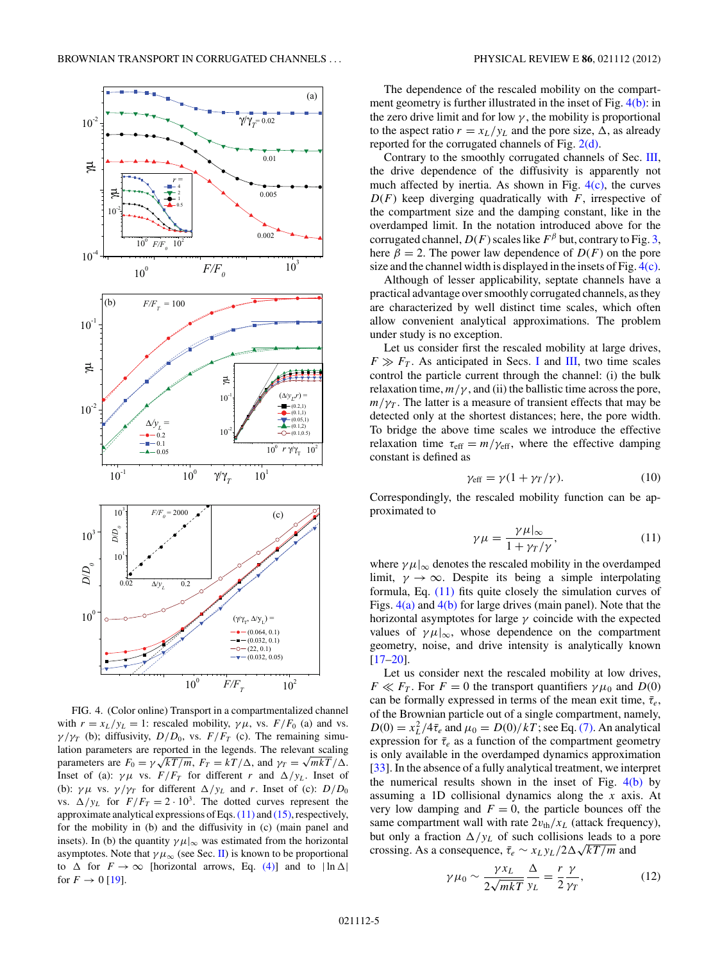<span id="page-4-0"></span>

FIG. 4. (Color online) Transport in a compartmentalized channel with  $r = x_L/y_L = 1$ : rescaled mobility,  $\gamma \mu$ , vs.  $F/F_0$  (a) and vs.  $\gamma/\gamma_T$  (b); diffusivity,  $D/D_0$ , vs.  $F/F_T$  (c). The remaining simulation parameters are reported in the legends. The relevant scaling parameters are  $F_0 = \gamma \sqrt{kT/m}$ ,  $F_T = kT/\Delta$ , and  $\gamma_T = \sqrt{mkT/\Delta}$ . Inset of (a):  $\gamma \mu$  vs.  $F/F_T$  for different *r* and  $\Delta/y_L$ . Inset of (b):  $\gamma \mu$  vs.  $\gamma / \gamma$  for different  $\Delta / y_L$  and *r*. Inset of (c):  $D/D_0$ vs.  $\Delta/y_L$  for  $F/F_T = 2 \cdot 10^3$ . The dotted curves represent the approximate analytical expressions of Eqs.(11) and [\(15\),](#page-5-0) respectively, for the mobility in (b) and the diffusivity in (c) (main panel and insets). In (b) the quantity  $\gamma \mu|_{\infty}$  was estimated from the horizontal asymptotes. Note that  $\gamma \mu_{\infty}$  (see Sec. [II\)](#page-0-0) is known to be proportional to  $\Delta$  for  $F \to \infty$  [horizontal arrows, Eq. [\(4\)\]](#page-1-0) and to  $|\ln \Delta|$ for  $F \to 0$  [\[19\]](#page-6-0).

The dependence of the rescaled mobility on the compartment geometry is further illustrated in the inset of Fig. 4(b): in the zero drive limit and for low  $\gamma$ , the mobility is proportional to the aspect ratio  $r = x_L/y_L$  and the pore size,  $\Delta$ , as already reported for the corrugated channels of Fig. [2\(d\).](#page-2-0)

Contrary to the smoothly corrugated channels of Sec. [III,](#page-1-0) the drive dependence of the diffusivity is apparently not much affected by inertia. As shown in Fig.  $4(c)$ , the curves *D*(*F*) keep diverging quadratically with *F*, irrespective of the compartment size and the damping constant, like in the overdamped limit. In the notation introduced above for the corrugated channel,  $D(F)$  scales like  $F^{\beta}$  but, contrary to Fig. [3,](#page-3-0) here  $\beta = 2$ . The power law dependence of  $D(F)$  on the pore size and the channel width is displayed in the insets of Fig. 4(c).

Although of lesser applicability, septate channels have a practical advantage over smoothly corrugated channels, as they are characterized by well distinct time scales, which often allow convenient analytical approximations. The problem under study is no exception.

Let us consider first the rescaled mobility at large drives,  $F \gg F_T$ . As anticipated in Secs. [I](#page-0-0) and [III,](#page-1-0) two time scales control the particle current through the channel: (i) the bulk relaxation time,  $m/\gamma$ , and (ii) the ballistic time across the pore,  $m/\gamma_T$ . The latter is a measure of transient effects that may be detected only at the shortest distances; here, the pore width. To bridge the above time scales we introduce the effective relaxation time  $\tau_{\text{eff}} = m/\gamma_{\text{eff}}$ , where the effective damping constant is defined as

$$
\gamma_{\rm eff} = \gamma (1 + \gamma_T / \gamma). \tag{10}
$$

Correspondingly, the rescaled mobility function can be approximated to

$$
\gamma \mu = \frac{\gamma \mu|_{\infty}}{1 + \gamma_T/\gamma},\tag{11}
$$

where  $\gamma \mu|_{\infty}$  denotes the rescaled mobility in the overdamped limit,  $\gamma \to \infty$ . Despite its being a simple interpolating formula, Eq. (11) fits quite closely the simulation curves of Figs. 4(a) and 4(b) for large drives (main panel). Note that the horizontal asymptotes for large *γ* coincide with the expected values of  $\gamma \mu |_{\infty}$ , whose dependence on the compartment geometry, noise, and drive intensity is analytically known  $[17–20]$ .

Let us consider next the rescaled mobility at low drives, *F*  $\ll$  *F<sub>T</sub>*. For *F* = 0 the transport quantifiers  $\gamma \mu_0$  and *D*(0) can be formally expressed in terms of the mean exit time,  $\bar{\tau}_e$ , of the Brownian particle out of a single compartment, namely,  $D(0) = x_L^2/4\bar{\tau}_e$  and  $\mu_0 = D(0)/kT$ ; see Eq. [\(7\).](#page-1-0) An analytical expression for  $\bar{\tau}_e$  as a function of the compartment geometry is only available in the overdamped dynamics approximation [\[33\]](#page-7-0). In the absence of a fully analytical treatment, we interpret the numerical results shown in the inset of Fig.  $4(b)$  by assuming a 1D collisional dynamics along the *x* axis. At very low damping and  $F = 0$ , the particle bounces off the same compartment wall with rate  $2v_{\text{th}}/x_L$  (attack frequency), but only a fraction  $\Delta / y_L$  of such collisions leads to a pore crossing. As a consequence,  $\bar{\tau}_e \sim x_L y_L/2\Delta\sqrt{kT/m}$  and

$$
\gamma \mu_0 \sim \frac{\gamma x_L}{2\sqrt{mkT}} \frac{\Delta}{y_L} = \frac{r}{2} \frac{\gamma}{\gamma_T},\tag{12}
$$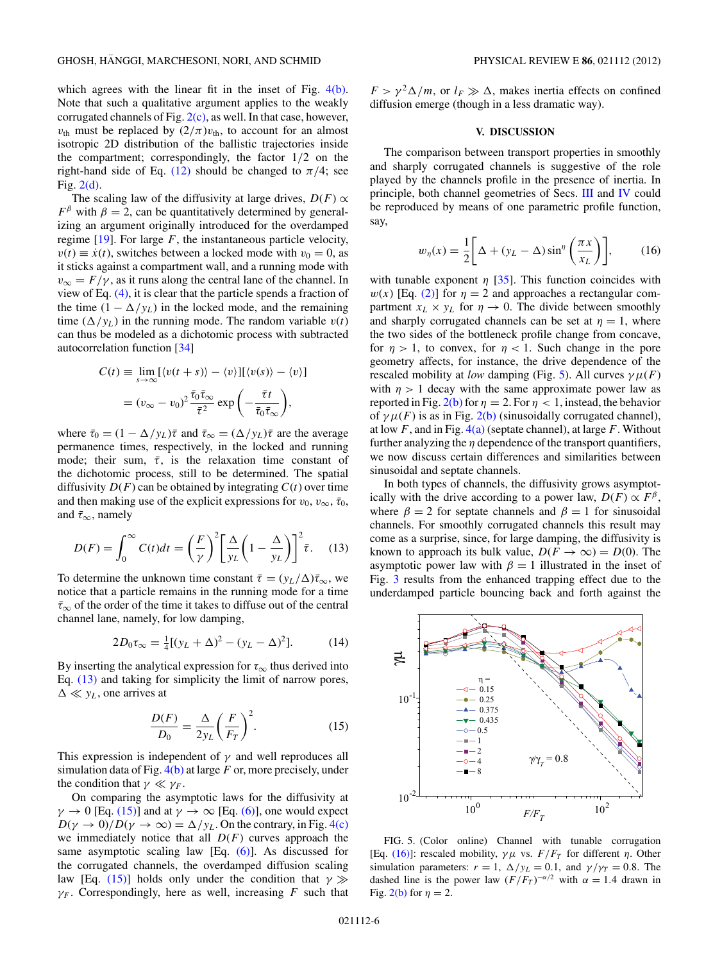<span id="page-5-0"></span>which agrees with the linear fit in the inset of Fig. [4\(b\).](#page-4-0) Note that such a qualitative argument applies to the weakly corrugated channels of Fig.  $2(c)$ , as well. In that case, however,  $v_{\text{th}}$  must be replaced by  $(2/\pi)v_{\text{th}}$ , to account for an almost isotropic 2D distribution of the ballistic trajectories inside the compartment; correspondingly, the factor 1*/*2 on the right-hand side of Eq. [\(12\)](#page-4-0) should be changed to  $\pi/4$ ; see Fig. [2\(d\).](#page-2-0)

The scaling law of the diffusivity at large drives,  $D(F) \propto$  $F^{\beta}$  with  $\beta = 2$ , can be quantitatively determined by generalizing an argument originally introduced for the overdamped regime  $[19]$ . For large  $F$ , the instantaneous particle velocity,  $v(t) \equiv \dot{x}(t)$ , switches between a locked mode with  $v_0 = 0$ , as it sticks against a compartment wall, and a running mode with  $v_{\infty} = F/\gamma$ , as it runs along the central lane of the channel. In view of Eq. [\(4\),](#page-1-0) it is clear that the particle spends a fraction of the time  $(1 - \Delta / y_L)$  in the locked mode, and the remaining time  $(\Delta / y_L)$  in the running mode. The random variable  $v(t)$ can thus be modeled as a dichotomic process with subtracted autocorrelation function [\[34\]](#page-7-0)

$$
C(t) \equiv \lim_{s \to \infty} [\langle v(t+s) \rangle - \langle v \rangle][\langle v(s) \rangle - \langle v \rangle]
$$

$$
= (v_{\infty} - v_0)^2 \frac{\bar{\tau}_0 \bar{\tau}_{\infty}}{\bar{\tau}^2} \exp\left(-\frac{\bar{\tau}t}{\bar{\tau}_0 \bar{\tau}_{\infty}}\right),
$$

where  $\bar{\tau}_0 = (1 - \Delta / y_L)\bar{\tau}$  and  $\bar{\tau}_{\infty} = (\Delta / y_L)\bar{\tau}$  are the average permanence times, respectively, in the locked and running mode; their sum,  $\bar{\tau}$ , is the relaxation time constant of the dichotomic process, still to be determined. The spatial diffusivity  $D(F)$  can be obtained by integrating  $C(t)$  over time and then making use of the explicit expressions for  $v_0$ ,  $v_{\infty}$ ,  $\bar{\tau}_0$ , and ¯*τ*∞, namely

$$
D(F) = \int_0^\infty C(t)dt = \left(\frac{F}{\gamma}\right)^2 \left[\frac{\Delta}{y_L}\left(1 - \frac{\Delta}{y_L}\right)\right]^2 \bar{\tau}.
$$
 (13)

To determine the unknown time constant  $\bar{\tau} = (y_L/\Delta)\bar{\tau}_{\infty}$ , we notice that a particle remains in the running mode for a time  $\bar{\tau}_{\infty}$  of the order of the time it takes to diffuse out of the central channel lane, namely, for low damping,

$$
2D_0 \tau_{\infty} = \frac{1}{4} [(y_L + \Delta)^2 - (y_L - \Delta)^2].
$$
 (14)

By inserting the analytical expression for  $\tau_{\infty}$  thus derived into Eq. (13) and taking for simplicity the limit of narrow pores,  $\Delta \ll y_L$ , one arrives at

$$
\frac{D(F)}{D_0} = \frac{\Delta}{2y_L} \left(\frac{F}{F_T}\right)^2.
$$
 (15)

This expression is independent of *γ* and well reproduces all simulation data of Fig. [4\(b\)](#page-4-0) at large *F* or, more precisely, under the condition that  $\gamma \ll \gamma_F$ .

On comparing the asymptotic laws for the diffusivity at  $\gamma \rightarrow 0$  [Eq. (15)] and at  $\gamma \rightarrow \infty$  [Eq. [\(6\)\]](#page-1-0), one would expect  $D(\gamma \to 0)/D(\gamma \to \infty) = \Delta/y_L$ . On the contrary, in Fig. [4\(c\)](#page-4-0) we immediately notice that all  $D(F)$  curves approach the same asymptotic scaling law [Eq.  $(6)$ ]. As discussed for the corrugated channels, the overdamped diffusion scaling law [Eq. (15)] holds only under the condition that  $\gamma \gg$  $\gamma_F$ . Correspondingly, here as well, increasing *F* such that

 $F > \gamma^2 \Delta/m$ , or  $l_F \gg \Delta$ , makes inertia effects on confined diffusion emerge (though in a less dramatic way).

## **V. DISCUSSION**

The comparison between transport properties in smoothly and sharply corrugated channels is suggestive of the role played by the channels profile in the presence of inertia. In principle, both channel geometries of Secs. [III](#page-1-0) and [IV](#page-3-0) could be reproduced by means of one parametric profile function, say,

$$
w_{\eta}(x) = \frac{1}{2} \bigg[ \Delta + (y_L - \Delta) \sin^{\eta} \left( \frac{\pi x}{x_L} \right) \bigg],\tag{16}
$$

with tunable exponent  $\eta$  [\[35\]](#page-7-0). This function coincides with  $w(x)$  [Eq. [\(2\)\]](#page-1-0) for  $\eta = 2$  and approaches a rectangular compartment  $x_L \times y_L$  for  $\eta \to 0$ . The divide between smoothly and sharply corrugated channels can be set at  $\eta = 1$ , where the two sides of the bottleneck profile change from concave, for  $\eta > 1$ , to convex, for  $\eta < 1$ . Such change in the pore geometry affects, for instance, the drive dependence of the rescaled mobility at *low* damping (Fig. 5). All curves  $\gamma \mu(F)$ with  $\eta > 1$  decay with the same approximate power law as reported in Fig. [2\(b\)](#page-2-0) for  $\eta = 2$ . For  $\eta < 1$ , instead, the behavior of  $\gamma \mu(F)$  is as in Fig. [2\(b\)](#page-2-0) (sinusoidally corrugated channel), at low *F*, and in Fig. [4\(a\)](#page-4-0) (septate channel), at large *F*. Without further analyzing the  $\eta$  dependence of the transport quantifiers, we now discuss certain differences and similarities between sinusoidal and septate channels.

In both types of channels, the diffusivity grows asymptotically with the drive according to a power law,  $D(F) \propto F^{\beta}$ , where  $\beta = 2$  for septate channels and  $\beta = 1$  for sinusoidal channels. For smoothly corrugated channels this result may come as a surprise, since, for large damping, the diffusivity is known to approach its bulk value,  $D(F \to \infty) = D(0)$ . The asymptotic power law with  $\beta = 1$  illustrated in the inset of Fig. [3](#page-3-0) results from the enhanced trapping effect due to the underdamped particle bouncing back and forth against the



FIG. 5. (Color online) Channel with tunable corrugation [Eq. (16)]: rescaled mobility,  $\gamma \mu$  vs.  $F/F_T$  for different *η*. Other simulation parameters:  $r = 1$ ,  $\Delta / y_L = 0.1$ , and  $\gamma / \gamma_T = 0.8$ . The dashed line is the power law  $(F/F_T)^{-\alpha/2}$  with  $\alpha = 1.4$  drawn in Fig. [2\(b\)](#page-2-0) for  $\eta = 2$ .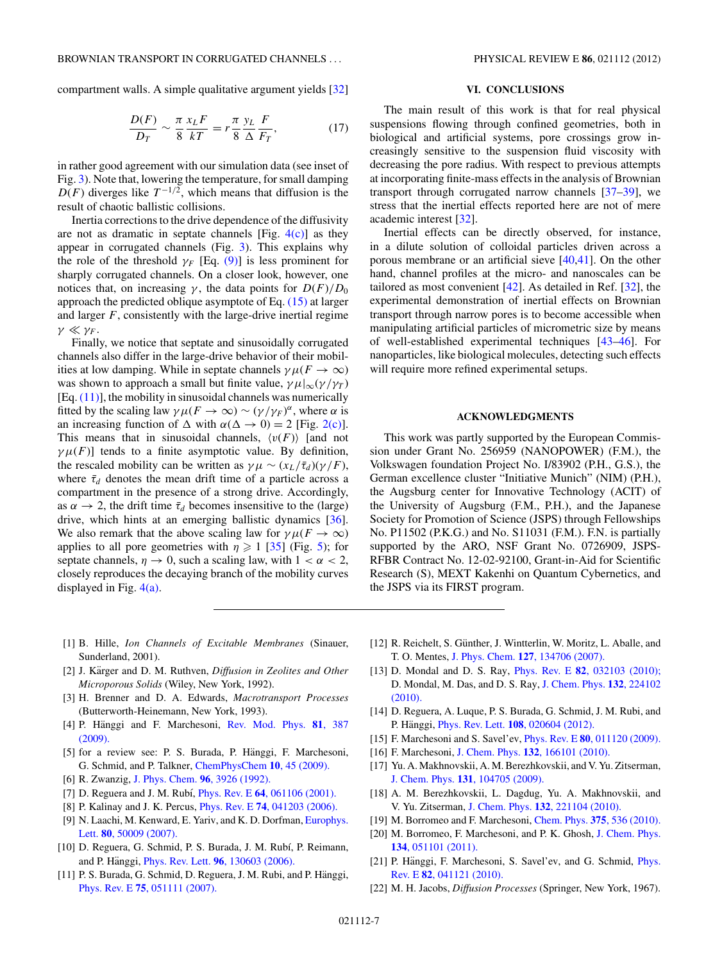<span id="page-6-0"></span>compartment walls. A simple qualitative argument yields [\[32\]](#page-7-0)

$$
\frac{D(F)}{D_T} \sim \frac{\pi}{8} \frac{x_L F}{kT} = r \frac{\pi}{8} \frac{y_L}{\Delta} \frac{F}{F_T},\tag{17}
$$

in rather good agreement with our simulation data (see inset of Fig. [3\)](#page-3-0). Note that, lowering the temperature, for small damping  $D(F)$  diverges like  $T^{-1/2}$ , which means that diffusion is the result of chaotic ballistic collisions.

Inertia corrections to the drive dependence of the diffusivity are not as dramatic in septate channels [Fig.  $4(c)$ ] as they appear in corrugated channels (Fig. [3\)](#page-3-0). This explains why the role of the threshold  $\gamma_F$  [Eq. [\(9\)\]](#page-3-0) is less prominent for sharply corrugated channels. On a closer look, however, one notices that, on increasing  $\gamma$ , the data points for  $D(F)/D_0$ approach the predicted oblique asymptote of Eq. [\(15\)](#page-5-0) at larger and larger *F*, consistently with the large-drive inertial regime  $\gamma \ll \gamma_F$ .

Finally, we notice that septate and sinusoidally corrugated channels also differ in the large-drive behavior of their mobilities at low damping. While in septate channels  $\gamma \mu (F \to \infty)$ was shown to approach a small but finite value,  $\gamma \mu|_{\infty}(\gamma/\gamma_T)$  $[Eq. (11)]$  $[Eq. (11)]$ , the mobility in sinusoidal channels was numerically fitted by the scaling law  $\gamma \mu(F \to \infty) \sim (\gamma/\gamma_F)^{\alpha}$ , where  $\alpha$  is an increasing function of  $\Delta$  with  $\alpha(\Delta \to 0) = 2$  [Fig. [2\(c\)\]](#page-2-0). This means that in sinusoidal channels,  $\langle v(F) \rangle$  [and not  $\gamma \mu(F)$ ] tends to a finite asymptotic value. By definition, the rescaled mobility can be written as  $\gamma \mu \sim (x_L/\bar{\tau}_d)(\gamma/F)$ , where  $\bar{\tau}_d$  denotes the mean drift time of a particle across a compartment in the presence of a strong drive. Accordingly, as  $\alpha \rightarrow 2$ , the drift time  $\bar{\tau}_d$  becomes insensitive to the (large) drive, which hints at an emerging ballistic dynamics [\[36\]](#page-7-0). We also remark that the above scaling law for  $\gamma \mu(F \to \infty)$ applies to all pore geometries with  $\eta \geq 1$  [\[35\]](#page-7-0) (Fig. [5\)](#page-5-0); for septate channels,  $\eta \rightarrow 0$ , such a scaling law, with  $1 < \alpha < 2$ , closely reproduces the decaying branch of the mobility curves displayed in Fig.  $4(a)$ .

### **VI. CONCLUSIONS**

The main result of this work is that for real physical suspensions flowing through confined geometries, both in biological and artificial systems, pore crossings grow increasingly sensitive to the suspension fluid viscosity with decreasing the pore radius. With respect to previous attempts at incorporating finite-mass effects in the analysis of Brownian transport through corrugated narrow channels [\[37–39\]](#page-7-0), we stress that the inertial effects reported here are not of mere academic interest [\[32\]](#page-7-0).

Inertial effects can be directly observed, for instance, in a dilute solution of colloidal particles driven across a porous membrane or an artificial sieve [\[40,41\]](#page-7-0). On the other hand, channel profiles at the micro- and nanoscales can be tailored as most convenient [\[42\]](#page-7-0). As detailed in Ref. [\[32\]](#page-7-0), the experimental demonstration of inertial effects on Brownian transport through narrow pores is to become accessible when manipulating artificial particles of micrometric size by means of well-established experimental techniques [\[43–46\]](#page-7-0). For nanoparticles, like biological molecules, detecting such effects will require more refined experimental setups.

### **ACKNOWLEDGMENTS**

This work was partly supported by the European Commission under Grant No. 256959 (NANOPOWER) (F.M.), the Volkswagen foundation Project No. I/83902 (P.H., G.S.), the German excellence cluster "Initiative Munich" (NIM) (P.H.), the Augsburg center for Innovative Technology (ACIT) of the University of Augsburg (F.M., P.H.), and the Japanese Society for Promotion of Science (JSPS) through Fellowships No. P11502 (P.K.G.) and No. S11031 (F.M.). F.N. is partially supported by the ARO, NSF Grant No. 0726909, JSPS-RFBR Contract No. 12-02-92100, Grant-in-Aid for Scientific Research (S), MEXT Kakenhi on Quantum Cybernetics, and the JSPS via its FIRST program.

- [1] B. Hille, *Ion Channels of Excitable Membranes* (Sinauer, Sunderland, 2001).
- [2] J. Kärger and D. M. Ruthven, *Diffusion in Zeolites and Other Microporous Solids* (Wiley, New York, 1992).
- [3] H. Brenner and D. A. Edwards, *Macrotransport Processes* (Butterworth-Heinemann, New York, 1993).
- [4] P. Hänggi and F. Marchesoni, [Rev. Mod. Phys.](http://dx.doi.org/10.1103/RevModPhys.81.387) 81, 387 [\(2009\).](http://dx.doi.org/10.1103/RevModPhys.81.387)
- [5] for a review see: P. S. Burada, P. Hänggi, F. Marchesoni, G. Schmid, and P. Talkner, [ChemPhysChem](http://dx.doi.org/10.1002/cphc.200800526) **10**, 45 (2009).
- [6] R. Zwanzig, [J. Phys. Chem.](http://dx.doi.org/10.1021/j100189a004) **96**, 3926 (1992).
- [7] D. Reguera and J. M. Rubí, *Phys. Rev. E* **64**[, 061106 \(2001\).](http://dx.doi.org/10.1103/PhysRevE.64.061106)
- [8] P. Kalinay and J. K. Percus, Phys. Rev. E **74**[, 041203 \(2006\).](http://dx.doi.org/10.1103/PhysRevE.74.041203)
- [9] N. Laachi, M. Kenward, E. Yariv, and K. D. Dorfman, [Europhys.](http://dx.doi.org/10.1209/0295-5075/80/50009) Lett. **80**[, 50009 \(2007\).](http://dx.doi.org/10.1209/0295-5075/80/50009)
- [10] D. Reguera, G. Schmid, P. S. Burada, J. M. Rubí, P. Reimann, and P. Hänggi, *Phys. Rev. Lett.* **96**[, 130603 \(2006\).](http://dx.doi.org/10.1103/PhysRevLett.96.130603)
- [11] P. S. Burada, G. Schmid, D. Reguera, J. M. Rubi, and P. Hänggi, Phys. Rev. E **75**[, 051111 \(2007\).](http://dx.doi.org/10.1103/PhysRevE.75.051111)
- [12] R. Reichelt, S. Günther, J. Wintterlin, W. Moritz, L. Aballe, and T. O. Mentes, J. Phys. Chem. **127**[, 134706 \(2007\).](http://dx.doi.org/10.1063/1.2779028)
- [13] D. Mondal and D. S. Ray, Phys. Rev. E **82**[, 032103 \(2010\);](http://dx.doi.org/10.1103/PhysRevE.82.032103) D. Mondal, M. Das, and D. S. Ray, [J. Chem. Phys.](http://dx.doi.org/10.1063/1.3431042) **132**, 224102 [\(2010\).](http://dx.doi.org/10.1063/1.3431042)
- [14] D. Reguera, A. Luque, P. S. Burada, G. Schmid, J. M. Rubi, and P. Hänggi, *Phys. Rev. Lett.* **108**[, 020604 \(2012\).](http://dx.doi.org/10.1103/PhysRevLett.108.020604)
- [15] F. Marchesoni and S. Savel'ev, Phys. Rev. E **80**[, 011120 \(2009\).](http://dx.doi.org/10.1103/PhysRevE.80.011120)
- [16] F. Marchesoni, J. Chem. Phys. **132**[, 166101 \(2010\).](http://dx.doi.org/10.1063/1.3402779)
- [17] Yu. A. Makhnovskii, A. M. Berezhkovskii, and V. Yu. Zitserman, J. Chem. Phys. **131**[, 104705 \(2009\).](http://dx.doi.org/10.1063/1.3224954)
- [18] A. M. Berezhkovskii, L. Dagdug, Yu. A. Makhnovskii, and V. Yu. Zitserman, J. Chem. Phys. **132**[, 221104 \(2010\).](http://dx.doi.org/10.1063/1.3451115)
- [19] M. Borromeo and F. Marchesoni, Chem. Phys. **375**[, 536 \(2010\).](http://dx.doi.org/10.1016/j.chemphys.2010.03.022)
- [20] M. Borromeo, F. Marchesoni, and P. K. Ghosh, [J. Chem. Phys.](http://dx.doi.org/10.1063/1.3535559) **134**[, 051101 \(2011\).](http://dx.doi.org/10.1063/1.3535559)
- [21] P. Hänggi, F. Marchesoni, S. Savel'ev, and G. Schmid, [Phys.](http://dx.doi.org/10.1103/PhysRevE.82.041121) Rev. E **82**[, 041121 \(2010\).](http://dx.doi.org/10.1103/PhysRevE.82.041121)
- [22] M. H. Jacobs, *Diffusion Processes* (Springer, New York, 1967).